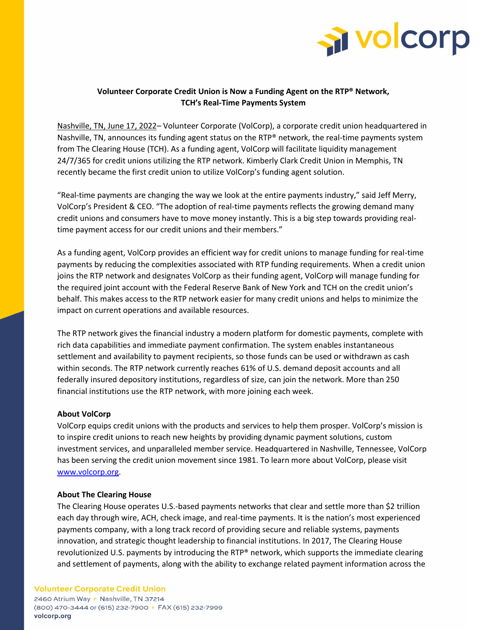

# **Volunteer Corporate Credit Union is Now a Funding Agent on the RTP® Network, TCH's Real-Time Payments System**

Nashville, TN, June 17, 2022– Volunteer Corporate (VolCorp), a corporate credit union headquartered in Nashville, TN, announces its funding agent status on the RTP® network, the real-time payments system from The Clearing House (TCH). As a funding agent, VolCorp will facilitate liquidity management 24/7/365 for credit unions utilizing the RTP network. Kimberly Clark Credit Union in Memphis, TN recently became the first credit union to utilize VolCorp's funding agent solution.

"Real-time payments are changing the way we look at the entire payments industry," said Jeff Merry, VolCorp's President & CEO. "The adoption of real-time payments reflects the growing demand many credit unions and consumers have to move money instantly. This is a big step towards providing realtime payment access for our credit unions and their members."

As a funding agent, VolCorp provides an efficient way for credit unions to manage funding for real-time payments by reducing the complexities associated with RTP funding requirements. When a credit union joins the RTP network and designates VolCorp as their funding agent, VolCorp will manage funding for the required joint account with the Federal Reserve Bank of New York and TCH on the credit union's behalf. This makes access to the RTP network easier for many credit unions and helps to minimize the impact on current operations and available resources.

The RTP network gives the financial industry a modern platform for domestic payments, complete with rich data capabilities and immediate payment confirmation. The system enables instantaneous settlement and availability to payment recipients, so those funds can be used or withdrawn as cash within seconds. The RTP network currently reaches 61% of U.S. demand deposit accounts and all federally insured depository institutions, regardless of size, can join the network. More than 250 financial institutions use the RTP network, with more joining each week.

## **About VolCorp**

VolCorp equips credit unions with the products and services to help them prosper. VolCorp's mission is to inspire credit unions to reach new heights by providing dynamic payment solutions, custom investment services, and unparalleled member service. Headquartered in Nashville, Tennessee, VolCorp has been serving the credit union movement since 1981. To learn more about VolCorp, please visit [www.volcorp.org.](file://///nvpfile151/Public/Wade%20Stapleton/RTP/www.volcorp.org)

#### **About The Clearing House**

The Clearing House operates U.S.-based payments networks that clear and settle more than \$2 trillion each day through wire, ACH, check image, and real-time payments. It is the nation's most experienced payments company, with a long track record of providing secure and reliable systems, payments innovation, and strategic thought leadership to financial institutions. In 2017, The Clearing House revolutionized U.S. payments by introducing the RTP® network, which supports the immediate clearing and settlement of payments, along with the ability to exchange related payment information across the

#### **Volunteer Corporate Credit Union**

2460 Atrium Way r Nashville, TN 37214 (800) 470-3444 or (615) 232-7900 • FAX (615) 232-7999 volcorp.org